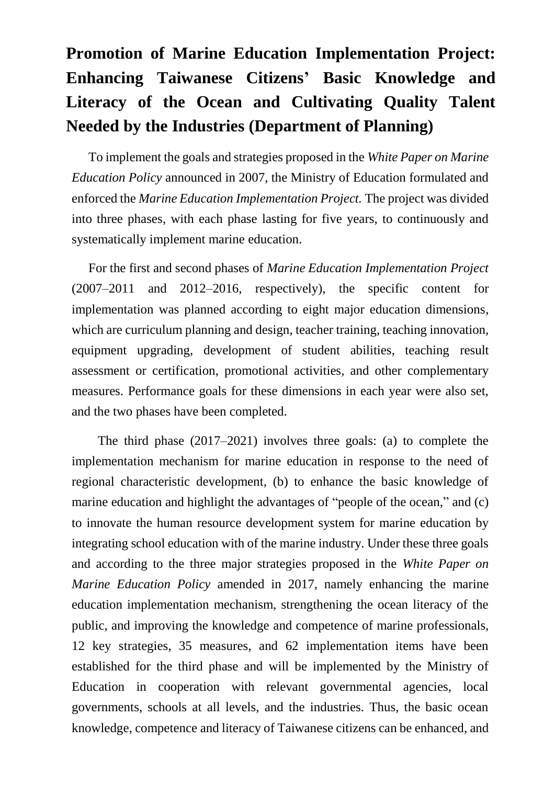## **Promotion of Marine Education Implementation Project: Enhancing Taiwanese Citizens' Basic Knowledge and Literacy of the Ocean and Cultivating Quality Talent Needed by the Industries (Department of Planning)**

To implement the goals and strategies proposed in the *White Paper on Marine Education Policy* announced in 2007, the Ministry of Education formulated and enforced the *Marine Education Implementation Project.* The project was divided into three phases, with each phase lasting for five years, to continuously and systematically implement marine education.

For the first and second phases of *Marine Education Implementation Project* (2007–2011 and 2012–2016, respectively), the specific content for implementation was planned according to eight major education dimensions, which are curriculum planning and design, teacher training, teaching innovation, equipment upgrading, development of student abilities, teaching result assessment or certification, promotional activities, and other complementary measures. Performance goals for these dimensions in each year were also set, and the two phases have been completed.

The third phase (2017–2021) involves three goals: (a) to complete the implementation mechanism for marine education in response to the need of regional characteristic development, (b) to enhance the basic knowledge of marine education and highlight the advantages of "people of the ocean," and (c) to innovate the human resource development system for marine education by integrating school education with of the marine industry. Under these three goals and according to the three major strategies proposed in the *White Paper on Marine Education Policy* amended in 2017, namely enhancing the marine education implementation mechanism, strengthening the ocean literacy of the public, and improving the knowledge and competence of marine professionals, 12 key strategies, 35 measures, and 62 implementation items have been established for the third phase and will be implemented by the Ministry of Education in cooperation with relevant governmental agencies, local governments, schools at all levels, and the industries. Thus, the basic ocean knowledge, competence and literacy of Taiwanese citizens can be enhanced, and